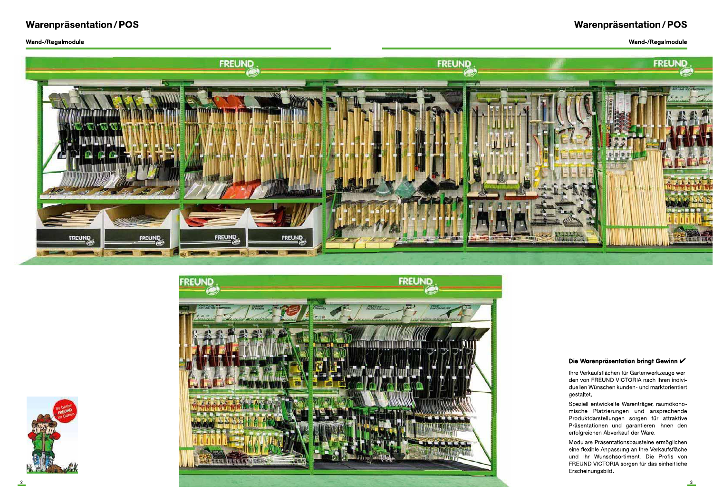



teine ermöglichen<br>tre Verkaufsfläche<br>Die Profis von<br>ir das einheitliche Die Warenpräsentation bringt Gewinn V<br>
Ihre Verkaufsflächen für Gartenwerkzeuge wer-<br>
den von FREUND VICTORIA nach Ihren indivi-<br>
duellen Wünschen kunden- und marktorientiert<br>
gestaltet.<br>
Speziell entwickelte Warenträger,